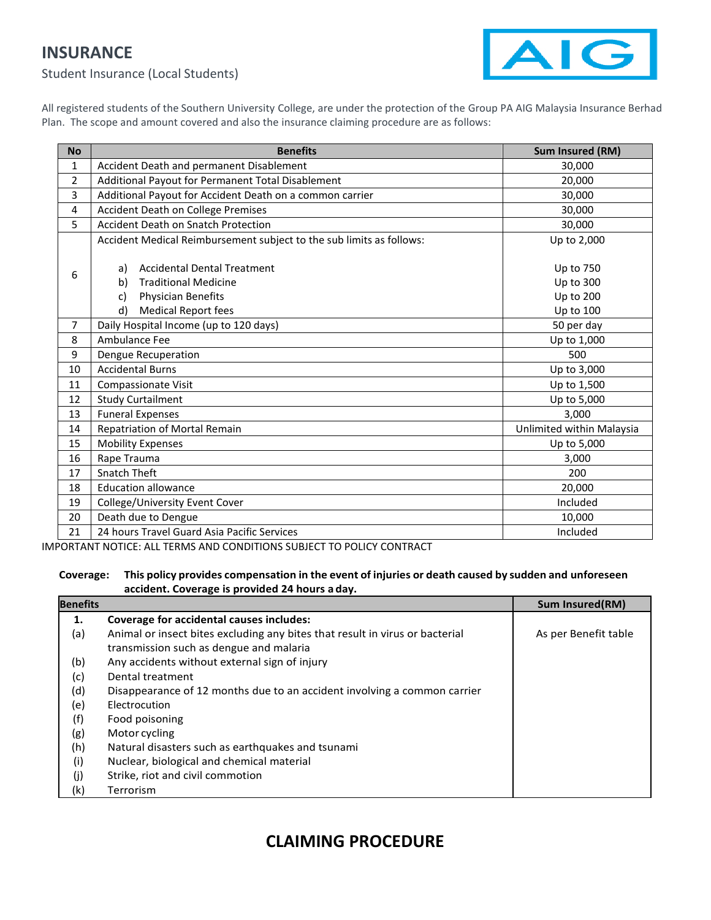## **INSURANCE**



Student Insurance (Local Students)

All registered students of the Southern University College, are under the protection of the Group PA AIG Malaysia Insurance Berhad Plan. The scope and amount covered and also the insurance claiming procedure are as follows:

| <b>No</b>      | <b>Benefits</b>                                                      | Sum Insured (RM)          |
|----------------|----------------------------------------------------------------------|---------------------------|
| 1              | Accident Death and permanent Disablement                             | 30,000                    |
| 2              | Additional Payout for Permanent Total Disablement                    | 20,000                    |
| 3              | Additional Payout for Accident Death on a common carrier             | 30,000                    |
| 4              | Accident Death on College Premises                                   | 30,000                    |
| 5              | <b>Accident Death on Snatch Protection</b>                           | 30,000                    |
| 6              | Accident Medical Reimbursement subject to the sub limits as follows: | Up to 2,000               |
|                | <b>Accidental Dental Treatment</b><br>a)                             | Up to 750                 |
|                | <b>Traditional Medicine</b><br>b)                                    | Up to 300                 |
|                | <b>Physician Benefits</b><br>c)                                      | <b>Up to 200</b>          |
|                | d)<br><b>Medical Report fees</b>                                     | Up to 100                 |
| $\overline{7}$ | Daily Hospital Income (up to 120 days)                               | 50 per day                |
| 8              | Ambulance Fee                                                        | Up to 1,000               |
| 9              | Dengue Recuperation                                                  | 500                       |
| 10             | <b>Accidental Burns</b>                                              | Up to 3,000               |
| 11             | <b>Compassionate Visit</b>                                           | Up to 1,500               |
| 12             | <b>Study Curtailment</b>                                             | Up to 5,000               |
| 13             | <b>Funeral Expenses</b>                                              | 3,000                     |
| 14             | Repatriation of Mortal Remain                                        | Unlimited within Malaysia |
| 15             | <b>Mobility Expenses</b>                                             | Up to 5,000               |
| 16             | Rape Trauma                                                          | 3,000                     |
| 17             | Snatch Theft                                                         | 200                       |
| 18             | <b>Education allowance</b>                                           | 20,000                    |
| 19             | College/University Event Cover                                       | Included                  |
| 20             | Death due to Dengue                                                  | 10,000                    |
| 21             | 24 hours Travel Guard Asia Pacific Services                          | Included                  |

IMPORTANT NOTICE: ALL TERMS AND CONDITIONS SUBJECT TO POLICY CONTRACT

## **Coverage: This policy provides compensation in the event of injuries or death caused by sudden and unforeseen accident. Coverage is provided 24 hours a day.**

| <b>Benefits</b> |                                                                              | Sum Insured(RM)      |
|-----------------|------------------------------------------------------------------------------|----------------------|
| 1.              | Coverage for accidental causes includes:                                     |                      |
| (a)             | Animal or insect bites excluding any bites that result in virus or bacterial | As per Benefit table |
|                 | transmission such as dengue and malaria                                      |                      |
| (b)             | Any accidents without external sign of injury                                |                      |
| (c)             | Dental treatment                                                             |                      |
| (d)             | Disappearance of 12 months due to an accident involving a common carrier     |                      |
| (e)             | Electrocution                                                                |                      |
| (f)             | Food poisoning                                                               |                      |
| (g)             | Motor cycling                                                                |                      |
| (h)             | Natural disasters such as earthquakes and tsunami                            |                      |
| (i)             | Nuclear, biological and chemical material                                    |                      |
| (j)             | Strike, riot and civil commotion                                             |                      |
| (k)             | Terrorism                                                                    |                      |